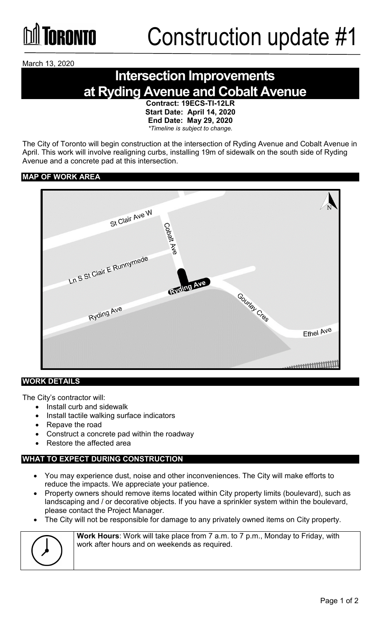

March 13, 2020

### **Intersection Improvements at Ryding Avenue and Cobalt Avenue**

**Contract: 19ECS-TI-12LR Start Date: April 14, 2020 End Date: May 29, 2020** *\*Timeline is subject to change.*

The City of Toronto will begin construction at the intersection of Ryding Avenue and Cobalt Avenue in April. This work will involve realigning curbs, installing 19m of sidewalk on the south side of Ryding Avenue and a concrete pad at this intersection.

#### **MAP OF WORK AREA**



#### **WORK DETAILS**

The City's contractor will:

- Install curb and sidewalk
- Install tactile walking surface indicators
- Repave the road
- Construct a concrete pad within the roadway
- Restore the affected area

#### **WHAT TO EXPECT DURING CONSTRUCTION**

- You may experience dust, noise and other inconveniences. The City will make efforts to reduce the impacts. We appreciate your patience.
- Property owners should remove items located within City property limits (boulevard), such as landscaping and / or decorative objects. If you have a sprinkler system within the boulevard, please contact the Project Manager.
- The City will not be responsible for damage to any privately owned items on City property.



**Work Hours**: Work will take place from 7 a.m. to 7 p.m., Monday to Friday, with work after hours and on weekends as required.